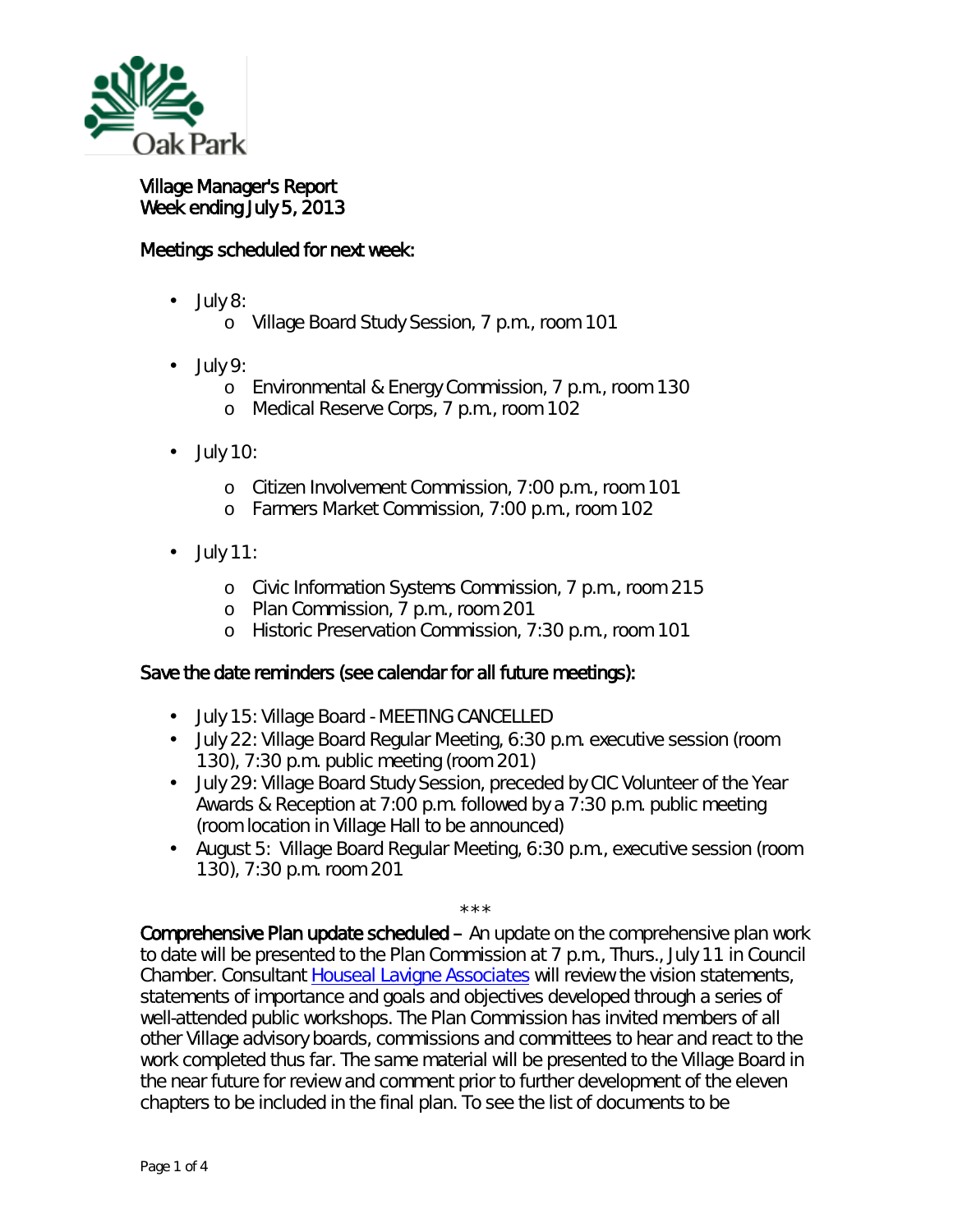

Village Manager's Report Week ending July 5, 2013

## Meetings scheduled for next week:

- July 8: ä,
	- o Village Board Study Session, 7 p.m., room 101
- July 9:
	- o Environmental & Energy Commission, 7 p.m., room 130
	- o Medical Reserve Corps, 7 p.m., room 102
- July 10:
	- o Citizen Involvement Commission, 7:00 p.m., room 101
	- o Farmers Market Commission, 7:00 p.m., room 102
- July 11: ä,
	- o Civic Information Systems Commission, 7 p.m., room 215
	- o Plan Commission, 7 p.m., room 201
	- o Historic Preservation Commission, 7:30 p.m., room 101

## Save the date reminders (see calendar for all future meetings):

- $\mathcal{L}^{\text{max}}$ July 15: Village Board - MEETING CANCELLED
- July 22: Village Board Regular Meeting, 6:30 p.m. executive session (room 130), 7:30 p.m. public meeting (room 201)
- July 29: Village Board Study Session, preceded by CIC Volunteer of the Year Awards & Reception at 7:00 p.m. followed by a 7:30 p.m. public meeting (room location in Village Hall to be announced)
- August 5: Village Board Regular Meeting, 6:30 p.m., executive session (room  $\mathcal{L}^{\pm}$ 130), 7:30 p.m. room 201

\*\*\*

Comprehensive Plan update scheduled – An update on the comprehensive plan work to date will be presented to the Plan Commission at 7 p.m., Thurs., July 11 in Council Chamber. Consultant [Houseal Lavigne Associates](http://www.hlplanning.com/) will review the vision statements, statements of importance and goals and objectives developed through a series of well-attended public workshops. The Plan Commission has invited members of all other Village advisory boards, commissions and committees to hear and react to the work completed thus far. The same material will be presented to the Village Board in the near future for review and comment prior to further development of the eleven chapters to be included in the final plan. To see the list of documents to be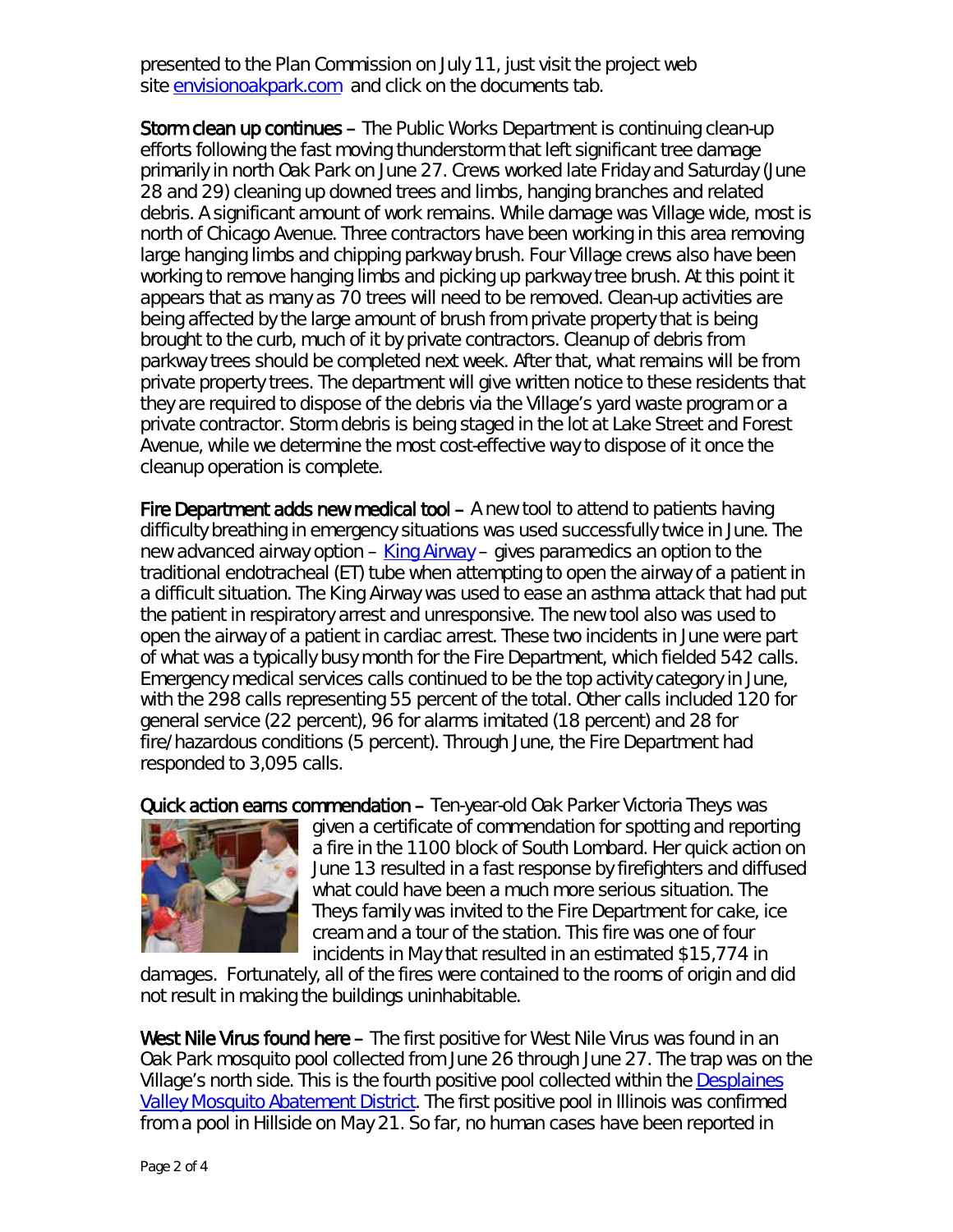presented to the Plan Commission on July 11, just visit the project web site [envisionoakpark.com](http://www.envisionoakpark.com/) and click on the *documents* tab.

Storm clean up continues – The Public Works Department is continuing clean-up efforts following the fast moving thunderstorm that left significant tree damage primarily in north Oak Park on June 27. Crews worked late Friday and Saturday (June 28 and 29) cleaning up downed trees and limbs, hanging branches and related debris. A significant amount of work remains. While damage was Village wide, most is north of Chicago Avenue. Three contractors have been working in this area removing large hanging limbs and chipping parkway brush. Four Village crews also have been working to remove hanging limbs and picking up parkway tree brush. At this point it appears that as many as 70 trees will need to be removed. Clean-up activities are being affected by the large amount of brush from private property that is being brought to the curb, much of it by private contractors. Cleanup of debris from parkway trees should be completed next week. After that, what remains will be from private property trees. The department will give written notice to these residents that they are required to dispose of the debris via the Village's yard waste program or a private contractor. Storm debris is being staged in the lot at Lake Street and Forest Avenue, while we determine the most cost-effective way to dispose of it once the cleanup operation is complete.

Fire Department adds new medical tool – A new tool to attend to patients having difficulty breathing in emergency situations was used successfully twice in June. The new advanced airway option  $-\underline{\text{King Airways}}$  $-\underline{\text{King Airways}}$  $-\underline{\text{King Airways}}$  – gives paramedics an option to the traditional endotracheal (ET) tube when attempting to open the airway of a patient in a difficult situation. The King Airway was used to ease an asthma attack that had put the patient in respiratory arrest and unresponsive. The new tool also was used to open the airway of a patient in cardiac arrest. These two incidents in June were part of what was a typically busy month for the Fire Department, which fielded 542 calls. Emergency medical services calls continued to be the top activity category in June, with the 298 calls representing 55 percent of the total. Other calls included 120 for general service (22 percent), 96 for alarms imitated (18 percent) and 28 for fire/hazardous conditions (5 percent). Through June, the Fire Department had responded to 3,095 calls.

Quick action earns commendation – Ten-year-old Oak Parker Victoria Theys was



given a certificate of commendation for spotting and reporting a fire in the 1100 block of South Lombard. Her quick action on June 13 resulted in a fast response by firefighters and diffused what could have been a much more serious situation. The Theys family was invited to the Fire Department for cake, ice cream and a tour of the station. This fire was one of four incidents in May that resulted in an estimated \$15,774 in

damages. Fortunately, all of the fires were contained to the rooms of origin and did not result in making the buildings uninhabitable.

West Nile Virus found here – The first positive for West Nile Virus was found in an Oak Park mosquito pool collected from June 26 through June 27. The trap was on the Village's north side. This is the fourth positive pool collected within the [Desplaines](http://www.desplainesvalleymad.com/)  [Valley Mosquito Abatement District.](http://www.desplainesvalleymad.com/) The first positive pool in Illinois was confirmed from a pool in Hillside on May 21. So far, no human cases have been reported in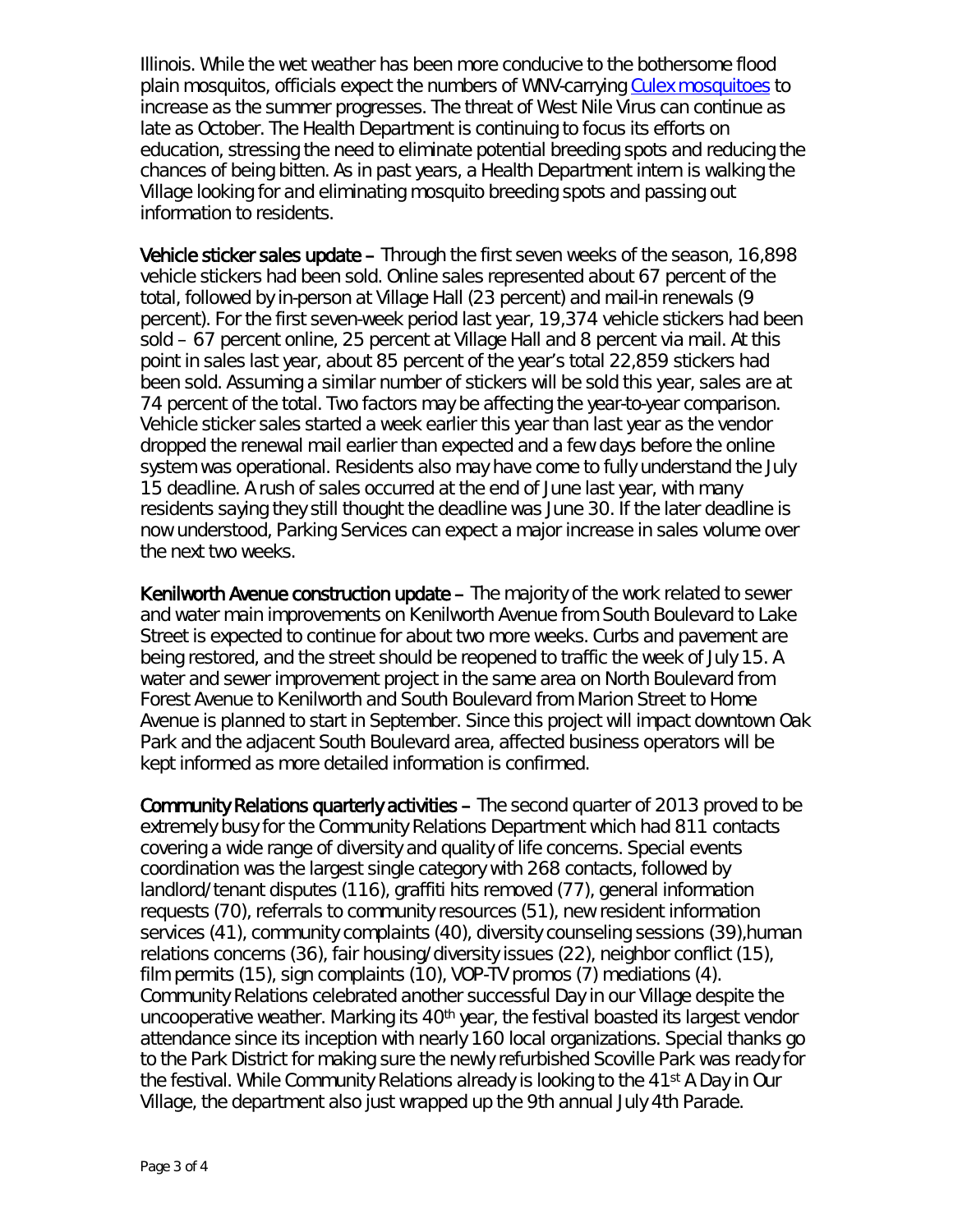Illinois. While the wet weather has been more conducive to the bothersome flood plain mosquitos, officials expect the numbers of WNV-carrying [Culex mosquitoes](http://www.idph.state.il.us/envhealth/pcmosquitoes.htm) to increase as the summer progresses. The threat of West Nile Virus can continue as late as October. The Health Department is continuing to focus its efforts on education, stressing the need to eliminate potential breeding spots and reducing the chances of being bitten. As in past years, a Health Department intern is walking the Village looking for and eliminating mosquito breeding spots and passing out information to residents.

Vehicle sticker sales update – Through the first seven weeks of the season, 16,898 vehicle stickers had been sold. Online sales represented about 67 percent of the total, followed by in-person at Village Hall (23 percent) and mail-in renewals (9 percent). For the first seven-week period last year, 19,374 vehicle stickers had been sold – 67 percent online, 25 percent at Village Hall and 8 percent via mail. At this point in sales last year, about 85 percent of the year's total 22,859 stickers had been sold. Assuming a similar number of stickers will be sold this year, sales are at 74 percent of the total. Two factors may be affecting the year-to-year comparison. Vehicle sticker sales started a week earlier this year than last year as the vendor dropped the renewal mail earlier than expected and a few days before the online system was operational. Residents also may have come to fully understand the July 15 deadline. A rush of sales occurred at the end of June last year, with many residents saying they still thought the deadline was June 30. If the later deadline is now understood, Parking Services can expect a major increase in sales volume over the next two weeks.

Kenilworth Avenue construction update – The majority of the work related to sewer and water main improvements on Kenilworth Avenue from South Boulevard to Lake Street is expected to continue for about two more weeks. Curbs and pavement are being restored, and the street should be reopened to traffic the week of July 15. A water and sewer improvement project in the same area on North Boulevard from Forest Avenue to Kenilworth and South Boulevard from Marion Street to Home Avenue is planned to start in September. Since this project will impact downtown Oak Park and the adjacent South Boulevard area, affected business operators will be kept informed as more detailed information is confirmed.

Community Relations quarterly activities – The second quarter of 2013 proved to be extremely busy for the Community Relations Department which had 811 contacts covering a wide range of diversity and quality of life concerns. Special events coordination was the largest single category with 268 contacts, followed by landlord/tenant disputes (116), graffiti hits removed (77), general information requests (70), referrals to community resources (51), new resident information services (41), community complaints (40), diversity counseling sessions (39),human relations concerns (36), fair housing/diversity issues (22), neighbor conflict (15), film permits (15), sign complaints (10), VOP-TV promos (7) mediations (4). Community Relations celebrated another successful Day in our Village despite the uncooperative weather. Marking its 40<sup>th</sup> year, the festival boasted its largest vendor attendance since its inception with nearly 160 local organizations. Special thanks go to the Park District for making sure the newly refurbished Scoville Park was ready for the festival. While Community Relations already is looking to the 41st A Day in Our Village, the department also just wrapped up the 9th annual July 4th Parade.